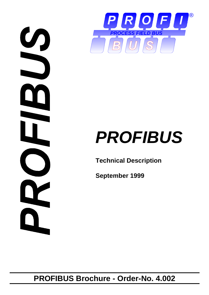



# *PROFIBUS*

**Technical Description**

**September 1999**

**PROFIBUS Brochure - Order-No. 4.002**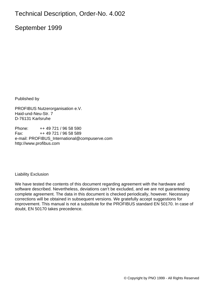# Technical Description, Order-No. 4.002

# September 1999

Published by

PROFIBUS Nutzerorganisation e.V. Haid-und-Neu-Str. 7 D-76131 Karlsruhe

Phone: ++ 49 721 / 96 58 590 Fax: ++ 49 721 / 96 58 589 e-mail: PROFIBUS\_International@compuserve.com http://www.profibus.com

Liability Exclusion

We have tested the contents of this document regarding agreement with the hardware and software described. Nevertheless, deviations can't be excluded, and we are not guaranteeing complete agreement. The data in this document is checked periodically, however. Necessary corrections will be obtained in subsequent versions. We gratefully accept suggestions for improvement. This manual is not a substitute for the PROFIBUS standard EN 50170. In case of doubt, EN 50170 takes precedence.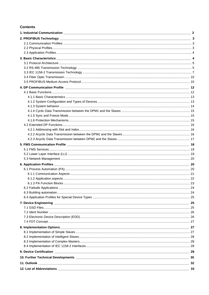### **Contents**

| $\overline{2}$ |
|----------------|
|                |
|                |
|                |
|                |
|                |
|                |
|                |
|                |
|                |
|                |
|                |
|                |
|                |
|                |
|                |
|                |
|                |
|                |
|                |
|                |
|                |
|                |
|                |
|                |
|                |
|                |
|                |
|                |
|                |
|                |
|                |
|                |
|                |
|                |
|                |
|                |
|                |
|                |
|                |
|                |
|                |
|                |
|                |
|                |
|                |
|                |
|                |
|                |
|                |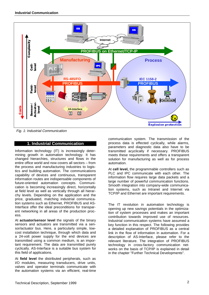<span id="page-3-0"></span>

Fig. 1: Industrial Communication

#### **1. Industrial Communication**

Information technology (IT) is increasingly determining growth in automation technology. It has changed hierarchies, structures and flows in the entire office world and now covers all sectors – from the process and manufacturing industries to logistics and building automation. The communications capability of devices and continuous, transparent information routes are indispensable components of future-oriented automation concepts. Communication is becoming increasingly direct, horizontally at field level as well as vertically through all hierarchy levels. Depending on the application and the price, graduated, matching industrial communication systems such as Ethernet, PROFIBUS and AS-Interface offer the ideal preconditions for transparent networking in all areas of the production process.

At **actuator/sensor level** the signals of the binary sensors and actuators are transmitted via a sensor/actuator bus. Here, a particularly simple, lowcost installation technique, through which data and a 24-volt power supply for the end devices are transmitted using a common medium, is an important requirement. The data are transmitted purely cyclically. AS-Interface is a suitable bus system for this field of applications.

At **field level** the distributed peripherals, such as I/O modules, measuring transducers, drive units, valves and operator terminals communicate with the automation systems via an efficient, real-time

communication system. The transmission of the process data is effected cyclically, while alarms, parameters and diagnostic data also have to be transmitted acyclically if necessary. PROFIBUS meets these requirements and offers a transparent solution for manufacturing as well as for process automation.

At **cell level,** the programmable controllers such as PLC and IPC communicate with each other. The information flow requires large data packets and a large number of powerful communication functions. Smooth integration into company-wide communication systems, such as Intranet and Internet via TCP/IP and Ethernet are important requirements.

The IT revolution in automation technology is opening up new savings potentials in the optimization of system processes and makes an important contribution towards improved use of resources. Industrial communication systems have assumed a key function in this respect. The following provides a detailed explanation of PROFIBUS as a central link in the flow of information in automation. For a description of AS-Interface, please refer to the relevant literature. The integration of PROFIBUS technology in cross-factory communication networks on the basis of TCP/IP is explained in detail in the chapter "Further Technical Developments".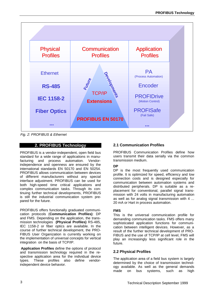<span id="page-4-0"></span>

Fig. 2: PROFIBUS & Ethernet

# **2. PROFIBUS Technology**

PROFIBUS is a vendor-independent, open field bus standard for a wide range of applications in manufacturing and process automation. Vendorindependence and openness are ensured by the international standards EN 50170 and EN 50254. PROFIBUS allows communication between devices of different manufacturers without any special interface adjustment. PROFIBUS can be used for both high-speed time critical applications and complex communication tasks. Through its continuing further technical developments, PROFIBUS is still the industrial communication system prepared for the future.

PROFIBUS offers functionally graduated communication protocols (**Communication Profiles)**: DP and FMS. Depending on the application, the transmission technologies **(Physical Profiles)** RS-485, IEC 1158-2 or fiber optics are available. In the course of further technical development, the PRO-FIBUS User Organization is currently working on the implementation of universal concepts for vertical integration on the basis of TCP/IP.

**Application Profiles** define the options of protocol and transmission technology required in the respective application area for the individual device types. These profiles also define vendorindependent device behavior.

# **2.1 Communication Profiles**

PROFIBUS Communication Profiles define how users transmit their data serially via the common transmission medium.

# **DP**

DP is the most frequently used communication profile. It is optimized for speed, efficiency and low connection costs and is designed especially for communication between automation systems and distributed peripherals. DP is suitable as a replacement for conventional, parallel signal transmission with 24 volts in manufacturing automation as well as for analog signal transmission with 4 ... 20 mA or Hart in process automation.

# **FMS**

This is the universal communication profile for demanding communication tasks. FMS offers many sophisticated application functions for communication between intelligent devices. However, as a result of the further technical development of PRO-FIBUS and the use of TCP/IP at cell level, FMS will play an increasingly less significant role in the future.

# **2.2 Physical Profiles**

The application area of a field bus system is largely determined by the choice of transmission technology available. As well as the general demands made on bus systems, such as high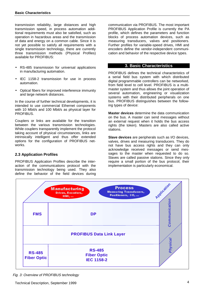<span id="page-5-0"></span>transmission reliability, large distances and high transmission speed, in process automation additional requirements must also be satisfied, such as operation in hazardous areas and the transmission of data and energy on a common cable. Since it is not yet possible to satisfy all requirements with a single transmission technology, there are currently three transmission methods (Physical Profiles) available for PROFIBUS:

- RS-485 transmission for universal applications in manufacturing automation.
- IEC 1158-2 transmission for use in process automation.
- Optical fibers for improved interference immunity and large network distances.

In the course of further technical developments, it is intended to use commercial Ethernet components with 10 Mbit/s and 100 Mbit/s as physical layer for PROFIBUS.

Couplers or links are available for the transition between the various transmission technologies. While couplers transparently implement the protocol taking account of physical circumstances, links are intrinsically intelligent and thus offer extended options for the configuration of PROFIBUS networks.

# **2.3 Application Profiles**

PROFIBUS Application Profiles describe the interaction of the communications protocol with the transmission technology being used. They also define the behavior of the field devices during

communication via PROFIBUS. The most important PROFIBUS Application Profile is currently the PA profile, which defines the parameters and function blocks of process automation devices, such as measuring transducers, valves and positioners. Further profiles for variable-speed drives, HMI and encoders define the vendor-independent communication and behavior of the respective device types.

## **3. Basic Characteristics**

PROFIBUS defines the technical characteristics of a serial field bus system with which distributed digital programmable controllers can be networked, from field level to cell level. PROFIBUS is a multimaster system and thus allows the joint operation of several automation, engineering or visualization systems with their distributed peripherals on one bus. PROFIBUS distinguishes between the following types of device:

**Master devices** determine the data communication on the bus. A master can send messages without an external request when it holds the bus access rights (the token). Masters are also called active stations.

**Slave devices** are peripherals such as I/O devices, valves, drives and measuring transducers. They do not have bus access rights and they can only acknowledge received messages or send messages to the master when requested to do so. Slaves are called passive stations. Since they only require a small portion of the bus protocol, their implementation is particularly economical.



Fig. 3: Overview of PROFIBUS technology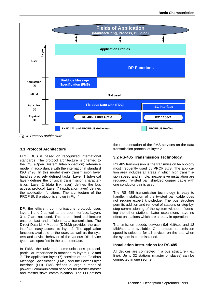<span id="page-6-0"></span>

Fig. 4: Protocol architecture

# **3.1 Protocol Architecture**

PROFIBUS is based on recognized international standards. The protocol architecture is oriented to the OSI (Open System Interconnection) reference model in accordance with the international standard ISO 7498. In this model every transmission layer handles precisely defined tasks. Layer 1 (physical layer) defines the physical transmission characteristics. Layer 2 (data link layer) defines the bus access protocol. Layer 7 (application layer) defines the application functions. The architecture of the PROFIBUS protocol is shown in Fig. 4.

**DP**, the efficient communications protocol, uses layers 1 and 2 as well as the user interface. Layers 3 to 7 are not used. This streamlined architecture ensures fast and efficient data transmission. The Direct Data Link Mapper (DDLM) provides the user interface easy access to layer 2. The application functions available to the user, as well as the system and device behavior of the various DP device types, are specified in the user interface.

In **FMS**, the universal communications protocol, particular importance is attached to layers 1, 2 and 7. The application layer (7) consists of the Fieldbus Message Specification (FMS) and the Lower Layer Interface (LLI). FMS defines a large number of powerful communication services for master-master and master-slave communication. The LLI defines

the representation of the FMS services on the data transmission protocol of layer 2.

# **3.2 RS-485 Transmission Technology**

RS 485 transmission is the transmission technology most frequently used by PROFIBUS. The application area includes all areas in which high transmission speed and simple, inexpensive installation are required. Twisted pair shielded copper cable with one conductor pair is used.

The RS 485 transmission technology is easy to handle. Installation of the twisted pair cable does not require expert knowledge. The bus structure permits addition and removal of stations or step-bystep commissioning of the system without influencing the other stations. Later expansions have no effect on stations which are already in operation.

Transmission speeds between 9.6 kbit/sec and 12 Mbit/sec are available. One unique transmission speed is selected for all devices on the bus when the system is commissioned.

# **Installation Instructions for RS 485**

All devices are connected in a bus structure (i.e., line). Up to 32 stations (master or slaves) can be connected in one segment.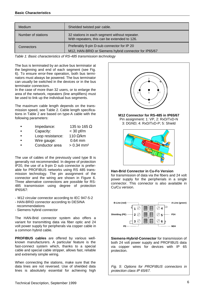| <b>Medium</b>      | Shielded twisted pair cable.                                                                        |
|--------------------|-----------------------------------------------------------------------------------------------------|
| Number of stations | 32 stations in each segment without repeater.<br>With repeaters, this can be extended to 126.       |
| Connectors         | Preferably 9-pin D-sub connector for IP 20<br>M12, HAN-BRID or Siemens hybrid connector for IP65/67 |

Table 1: Basic characteristics of RS-485 transmission technology

The bus is terminated by an active bus terminator at the beginning and end of each segment (see Fig. 6). To ensure error-free operation, both bus terminators must always be powered. The bus terminator can usually be switched in the devices or in the bus terminator connectors.

In the case of more than 32 users, or to enlarge the area of the network, repeaters (line amplifiers) must be used to link up the individual bus segments.

The maximum cable length depends on the transmission speed, see Table 2. Cable length specifications in Table 2 are based on type-A cable with the following parameters:

| Impedance:       | 135 to 165 $\Omega$      |
|------------------|--------------------------|
| Capacity:        | $<$ 30 pf/m              |
| Loop resistance: | 110 $\Omega$ /km         |
| Wire gauge:      | $0.64$ mm                |
| Conductor area   | $> 0.34$ mm <sup>2</sup> |
|                  |                          |

The use of cables of the previously used type B is generally not recommended. In degree of protection IP20, the use of a 9-pin D sub connector is preferable for PROFIBUS networks using RS 485 transmission technology. The pin assignment of the connector and the wiring are shown in Figure 6. Three alternative connections are possible for RS-485 transmission using degree of protection IP65/67:

- M12 circular connector according to IEC 947-5-2
- HAN-BRID connector according to DESINA
- recommendations
- Siemens hybrid connector

The HAN-Brid connector system also offers a variant for transmitting data via fiber optic and 24 volt power supply for peripherals via copper cable in a common hybrid cable.

**PROFIBUS cables** are offered by various wellknown manufacturers. A particular feature is the fast-connect system which, thanks to a special cable and special cable stripper, allows fast, reliable and extremely simple wiring.

When connecting the stations, make sure that the data lines are not reversed. Use of shielded data lines is absolutely essential for achieving high

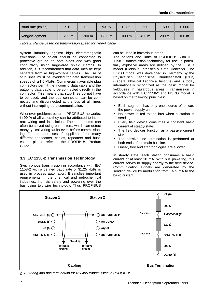<span id="page-8-0"></span>

| Baud rate (kbit/s) | 9.6    | 19.2             | 93.75  | 187.5  | 500   | 1500  | 12000           |
|--------------------|--------|------------------|--------|--------|-------|-------|-----------------|
| Range/Segment      | 1200 m | $1200 \text{ m}$ | 1200 m | 1000 m | 400 m | 200 m | $100 \text{ m}$ |

Table 2: Range based on transmission speed for type-A cable

system immunity against high electromagnetic emissions. The shield should be connected to protective ground on both sides and with good conductivity using large-area shield clamps. In addition, it is recommended that data lines be kept separate from all high-voltage cables. The use of stub lines must be avoided for data transmission speeds of  $\geq$  1.5 Mbit/s. Commercially available plug connectors permit the incoming data cable and the outgoing data cable to be connected directly in the connector. This means that stub lines do not have to be used, and the bus connector can be connected and disconnected at the bus at all times without interrupting data communication.

Whenever problems occur in PROFIBUS networks, in 90 % of all cases they can be attributed to incorrect wiring and installation. These problems can often be solved using bus testers, which can detect many typical wiring faults even before commissioning. For the addresses of suppliers of the many different connectors, cables, repeaters and bustesters, please refer to the PROFIBUS Product Guide.

# **3.3 IEC 1158-2 Transmission Technology**

Synchronous transmission in accordance with IEC 1158-2 with a defined baud rate of 31.25 kbit/s is used in process automation. It satisfies important requirements in the chemical and petrochemical industries: intrinsic safety and powering over the bus using two-wire technology. Thus PROFIBUS

can be used in hazardous areas.

The options and limits of PROFIBUS with IEC 1158-2 transmission technology for use in potentially explosive areas are defined by the FISCO model (**F**ieldbus **I**ntrinsically **S**afe **C**oncept). The FISCO model was developed in Germany by the Physikalisch Technische Bundesanstalt (PTB) (Federal Physical Technical Institute) and is today internationally recognized as the basic model for fieldbuses in hazardous areas. Transmission in accordance with IEC 1158-2 and FISCO model is based on the following principles:

- Each segment has only one source of power, the power supply unit.
- No power is fed to the bus when a station is sending.
- Every field device consumes a constant basic current at steady-state.
- The field devices function as a passive current sink.
- The passive line termination is performed at both ends of the main bus line.
- Linear, tree and star topologies are allowed.

In steady state, each station consumes a basic current of at least 10 mA. With bus powering, this current serves to supply energy to the field device. Communication signals are generated by the sending device by modulation from +/- 9 mA to the basic current.



Fig. 6: Wiring and bus termination for RS-485 transmission in PROFIBUS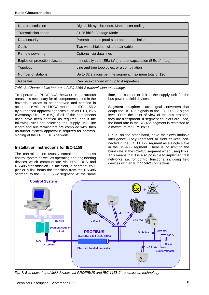| Data transmission            | Digital, bit-synchronous, Manchester coding                    |
|------------------------------|----------------------------------------------------------------|
| <b>Transmission speed</b>    | 31,25 kbit/s, Voltage Mode                                     |
| Data security                | Preamble, error-proof start and end delimiter                  |
| Cable                        | Two wire shielded twisted pair cable                           |
| Remote powering              | Optional, via data lines                                       |
| Explosion protection classes | Intrinsically safe (EEx ia/ib) and encapsulation (EEx d/m/p/q) |
| Topology                     | Line and tree topologies, or a combination                     |
| Number of stations           | Up to 32 stations per line segment, maximum total of 126       |
| Repeater                     | Can be expanded with up to 4 repeaters                         |

Table 3: Characteristic features of IEC 1158-2 transmission technology

To operate a PROFIBUS network in hazardous areas, it is necessary for all components used in the hazardous areas to be approved and certified in accordance with the FISCO model and IEC 1158-2 by authorized approval agencies such as PTB, BVS (Germany) UL, FM (US). If all of the components used have been certified as required, and if the following rules for selecting the supply unit, line length and bus terminators are complied with, then no further system approval is required for commissioning of the PROFIBUS network.

# **Installation Instructions for IEC-1158**

The control station usually contains the process control system as well as operating and engineering devices which communicate via PROFIBUS and RS-485 transmission. In the field, a segment coupler or a link forms the transition from the RS-485 segment to the IEC 1158-2 segment. At the same

time, the coupler or link is the supply unit for the bus powered field devices.

**Segment couplers** are signal converters that adapt the RS-485 signals to the IEC 1158-2 signal level. From the point of view of the bus protocol, they are transparent. If segment couplers are used, the baud rate in the RS-485 segment is restricted to a maximum of 93.75 kbit/s.

**Links**, on the other hand, have their own intrinsic intelligence. They represent all field devices connected in the IEC 1158-2 segment as a single slave in the RS-485 segment. There is no limit to the baud rate in the RS-485 segment when using links. This means that it is also possible to implement fast networks, i.e. for control functions, including field devices with an IEC 1158-2 connection.



Fig. 7: Bus powering of field devices via PROFIBUS and IEC 1158-2 transmission technology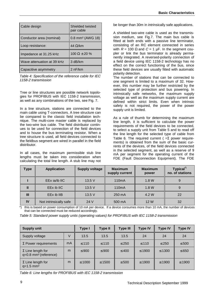| Cable design               | Shielded twisted<br>pair cable |  |  |
|----------------------------|--------------------------------|--|--|
| Conductor area (nominal)   | 0.8 mm <sup>2</sup> (AWG 18)   |  |  |
| Loop resistance:           | 44 $\Omega$ /km                |  |  |
| Impedance at 31.25 kHz     | 100 $\Omega \pm 20$ %          |  |  |
| Wave attenuation at 39 kHz | 3 dB/km                        |  |  |
| Capacitive asymmetry       | 2 nF/km                        |  |  |

Table 4: Specification of the reference cable for IEC 1158-2 transmission

Tree or line structures are possible network topologies for PROFIBUS with IEC 1158-2 transmission, as well as any combinations of the two, see Fig. 7.

In a line structure, stations are connected to the main cable using T-connectors. A tree structure can be compared to the classic field installation technique. The multi-core master cable is replaced by the two-wire bus cable. The field distributor continues to be used for connection of the field devices and to house the bus terminating resistor. When a tree structure is used, all field devices connected to the fieldbus segment are wired in parallel in the field distributor.

In all cases, the maximum permissible stub line lengths must be taken into consideration when calculating the total line length. A stub line may not be longer than 30m in intrinsically safe applications.

A shielded two-wire cable is used as the transmission medium, see Fig.7. The main bus cable is fitted at both ends with a passive line terminator, consisting of an RC element connected in series with  $R = 100 \Omega$  and  $C = 1 \mu F$ . In the segment coupler or link the bus terminator is already permanently integrated. A reversed-polarity connection of a field device using IEC 1158-2 technology has no effect on the correct functioning of the bus, since these field devices are usually fitted with automatic polarity detection.

The number of stations that can be connected to one segment is limited to a maximum of 32. However, this number may be further restricted by the selected type of protection and bus powering. In intrinsically safe networks, the maximum supply voltage as well as the maximum supply current are defined within strict limits. Even when intrinsic safety is not required, the power of the power supply unit is limited.

As a rule of thumb for determining the maximum line length, it is sufficient to calculate the power requirements of the field devices to be connected, to select a supply unit from Table 5 and to read off the line length for the selected type of cable from Table 6. The required current ( $=\Sigma$  power requirements) is obtained from the sum of the basic currents of the devices, of the field devices connected in the selected segment, as well as a reserve of 9 mA per segment for the operating current of the FDE (Fault Disconnection Equipment). The FDE

| Type      | <b>Application</b>     | <b>Supply voltage</b> | <b>Maximum</b><br>supply current | <b>Maximum</b><br>power | Typical <sup>*)</sup><br>no. of stations |
|-----------|------------------------|-----------------------|----------------------------------|-------------------------|------------------------------------------|
|           | EEx ia/ib IIC          | 13.5 V                | 110 <sub>m</sub> A               | 1.8W                    | 9                                        |
|           | EEx ib IIC             | 13.5 V                | 110 <sub>m</sub> A               | 1.8W                    | 9                                        |
| Ш         | EEx ib IIB             | 13.5 V                | 250 mA                           | 4.2 W                   | 22                                       |
| <b>IV</b> | Not intrinsically safe | 24 V                  | 500 mA                           | 12W                     | 32                                       |

\*) this is based on power consumption of 10 mA per device. If a device consumes more than 10 mA, the number of devices that can be connected must be reduced accordingly.

Table 5: Standard power supply units (operating values) for PROFIBUS with IEC 1158-2 transmission

| <b>Supply unit</b>                                              |    | Type I      | Type II     | <b>Type III</b> | <b>Type IV</b> | <b>Type IV</b> | <b>Type IV</b> |
|-----------------------------------------------------------------|----|-------------|-------------|-----------------|----------------|----------------|----------------|
| Supply voltage                                                  |    | 13.5        | 13.5        | 13.5            | 24             | 24             | 24             |
| $\Sigma$ Power requirements                                     | mA | $\leq 110$  | $\leq 110$  | $\leq 250$      | $\leq 110$     | $\leq 250$     | $\leq 500$     |
| $\Sigma$ Line length for<br>$q=0.8$ mm <sup>2</sup> (reference) | m  | $\leq 900$  | $\leq 900$  | $\leq 400$      | $\leq 1900$    | $\leq 1300$    | $\leq 650$     |
| $\Sigma$ Line length for<br>$q=1.5$ mm <sup>2</sup>             | m  | $\leq 1000$ | $\leq 1500$ | $\leq 500$      | $\leq 1900$    | $\leq 1900$    | $\leq 1900$    |

Table 6: Line lengths for PROFIBUS with IEC 1158-2 transmission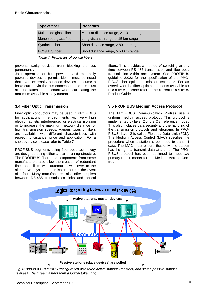<span id="page-11-0"></span>

| Type of fiber         | <b>Properties</b>                     |
|-----------------------|---------------------------------------|
| Multimode glass fiber | Medium distance range, 2 - 3 km range |
| Monomode glass fiber  | Long distance range, > 15 km range    |
| Synthetic fiber       | Short distance range, > 80 km range   |
| PCS/HCS fiber         | Short distance range, $>$ 500 m range |

Table 7: Properties of optical fibers

prevents faulty devices from blocking the bus permanently.

Joint operation of bus powered and externally powered devices is permissible. It must be noted that even externally supplied devices consume a basic current via the bus connection, and this must also be taken into account when calculating the maximum available supply current.

# **3.4 Fiber Optic Transmission**

Fiber optic conductors may be used in PROFIBUS for applications in environments with very high electromagnetic interference, for electrical isolation or to increase the maximum network distance for high transmission speeds. Various types of fibers are available, with different characteristics with respect to distance, price and application. For a short overview please refer to Table 7.

PROFIBUS segments using fiber-optic technology are designed using either a star or a ring structure. The PROFIBUS fiber optic components from some manufacturers also allow the creation of redundant fiber optic links with automatic switchover to the alternative physical transmission route in the event of a fault. Many manufacturers also offer couplers between RS-485 transmission links and optical

fibers. This provides a method of switching at any time between RS 485 transmission and fiber optic transmission within one system. See PROFIBUS guideline 2.022 for the specification of the PRO-FIBUS fiber optic transmission technique. For an overview of the fiber-optic components available for PROFIBUS, please refer to the current PROFIBUS Product Guide.

# **3.5 PROFIBUS Medium Access Protocol**

The PROFIBUS Communication Profiles use a uniform medium access protocol. This protocol is implemented by layer 2 of the OSI reference model. This also includes data security and the handling of the transmission protocols and telegrams. In PRO-FIBUS, layer 2 is called Fieldbus Data Link (FDL). The Medium Access Control (MAC) specifies the procedure when a station is permitted to transmit data. The MAC must ensure that only one station has the right to transmit data at a time. The PRO-FIBUS protocol has been designed to meet two primary requirements for the Medium Access Control:



 Fig. 8: shows a PROFIBUS configuration with three active stations (masters) and seven passive stations (slaves). The three masters form a logical token ring.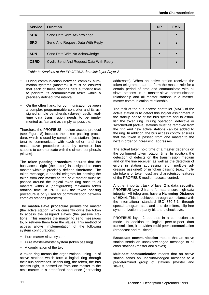| <b>Service</b> | <b>Function</b>                         | <b>DP</b> | <b>FMS</b> |
|----------------|-----------------------------------------|-----------|------------|
| <b>SDA</b>     | Send Data With Acknowledge              |           |            |
| <b>SRD</b>     | Send And Request Data With Reply        |           |            |
| <b>SDN</b>     | Send Data With No Acknowledge           |           |            |
| <b>CSRD</b>    | Cyclic Send And Request Data With Reply |           |            |

Table 8: Services of the PROFIBUS data link layer (layer 2

- During communication between complex automation systems (masters), it must be ensured that each of these stations gets sufficient time to perform its communication tasks within a precisely defined time interval.
- On the other hand, for communication between a complex programmable controller and its assigned simple peripherals (slaves), cyclic, realtime data transmission needs to be implemented as fast and as simply as possible.

Therefore, the PROFIBUS medium access protocol (see Figure 8) includes the token passing procedure, which is used by complex bus stations (masters) to communicate with each other, and the master-slave procedure used by complex bus stations to communicate with the simple peripherals (slaves).

The **token passing procedure** ensures that the bus access right (the token) is assigned to each master within a precisely defined timeframe. The token message, a special telegram for passing the token from one master to the next master must be passed around the logical token ring once to all masters within a (configurable) maximum token rotation time. In PROFIBUS the token passing procedure is only used for communication between complex stations (masters).

The **master-slave procedure** permits the master (the active station) which currently owns the token to access the assigned slaves (the passive stations). This enables the master to send messages to, or retrieve them from the slaves. This method of access allows implementation of the following system configurations:

- Pure master-slave system.
- Pure master-master system (token passing)
- A combination of the two

A token ring means the organizational lining up of active stations which form a logical ring through their bus addresses. In this ring, the token, the bus access right, is passed on from one master to the next master in a predefined sequence (increasing

addresses). When an active station receives the token telegram, it can perform the master role for a certain period of time and communicate with all slave stations in a master-slave communication relationship and all master stations in a mastermaster communication relationship.

The task of the bus access controller (MAC) of the active station is to detect this logical assignment in the startup phase of the bus system and to establish the token ring. During operation, defective or switched-off (active) stations must be removed from the ring and new active stations can be added to the ring. In addition, the bus access control ensures that the token is passed from one master to the next in order of increasing addresses.

The actual token hold time of a master depends on the configured token rotation time. In addition, the detection of defects on the transmission medium and on the line receiver, as well as the detection of errors in station addressing (e.g., multiple addresses assigned) or in token passing (e.g., multiple tokens or token loss) are characteristic features of the PROFIBUS medium access control.

Another important task of layer 2 is **data security**. PROFIBUS layer 2 frame formats ensure high data integrity. All telegrams have a **Hamming Distance of HD=4**. This is achieved through compliance with the international standard IEC 870-5-1, through special telegram start and end delimiters, slip-free synchronization, a parity bit and a check byte.

PROFIBUS layer 2 operates in a connectionless mode. In addition to logical peer-to-peer data transmission, it provides multi-peer communication (broadcast and multicast).

**Broadcast communication** means that an active station sends an unacknowledged message to all other stations (master and slaves).

**Multicast communication** means that an active station sends an unacknowledged message to a predetermined group of stations (master and slaves).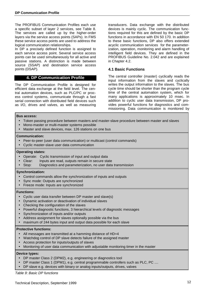<span id="page-13-0"></span>The PROFIBUS Communication Profiles each use a specific subset of layer 2 services, see Table 8. The services are called up by the higher-order layers via the service access points (SAPs). In FMS these service access points are used to address the logical communication relationships.

In DP a precisely defined function is assigned to each service access point. Several service access points can be used simultaneously for all active and passive stations. A distinction is made between source (SSAP) and destination service access points (DSAP).

# **4. DP Communication Profile**

The DP Communication Profile is designed for efficient data exchange at the field level. The central automation devices, such as PLC/PC or process control systems, communicate through a fast serial connection with distributed field devices such as I/O, drives and valves, as well as measuring transducers. Data exchange with the distributed devices is mainly cyclic. The communication functions required for this are defined by the basic DP functions in accordance with EN 50 170. In addition to these basic functions, DP also offers extended acyclic communication services for the parameterization, operation, monitoring and alarm handling of intelligent field devices. They are defined in the PROFIBUS Guideline No. 2.042 and are explained in Chapter 4.2.

#### **4.1 Basic Functions**

The central controller (master) cyclically reads the input information from the slaves and cyclically writes the output information to the slaves. The bus cycle time should be shorter than the program cycle time of the central automation system, which for many applications is approximately 10 msec. In addition to cyclic user data transmission, DP provides powerful functions for diagnostics and commissioning. Data communication is monitored by

#### **Bus access:**

- Token passing procedure between masters and master-slave procedure between master and slaves
- Mono-master or multi-master systems possible
- Master and slave devices, max. 126 stations on one bus

#### **Communication:**

- Peer-to-peer (user data communication) or multicast (control commands)
- Cyclic master-slave user data communication

#### **Operating states:**

- Operate: Cyclic transmission of input and output data
- Clear: Inputs are read, outputs remain in secure state
- Stop: Diagnostics and parameterization, no user data transmission

#### **Synchronization:**

- Control commands allow the synchronization of inputs and outputs
- Sync mode: Outputs are synchronized
- Freeze mode: Inputs are synchronized

#### **Functions:**

- Cyclic user data transfer between DP master and slave(s)
- Dynamic activation or deactivation of individual slaves
- Checking the configuration of the slaves
- Powerful diagnostic functions, 3 hierarchical levels of diagnostic messages
- Synchronization of inputs and/or outputs
- Address assignment for slaves optionally possible via the bus
- maximum of 244 bytes input and output data possible for each slave

#### **Protective functions:**

- All messages are transmitted at a hamming distance of HD=4
- Watchdog control of DP slave detects failure of the assigned master
- Access protection for inputs/outputs of slaves
- Monitoring of user data communication with adjustable monitoring timer in the master

# **Device types:**

- DP master Class 2 (DPM2), e.g. engineering or diagnostics tool
- DP master Class 1 (DPM1), e.g. central programmable controllers such as PLC, PC ....
- DP slave e.g. devices with binary or analog inputs/outputs, drives, valves

Table 9: Basic DP functions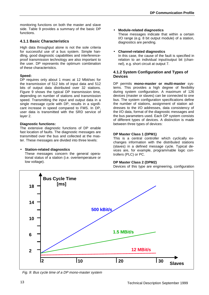<span id="page-14-0"></span>monitoring functions on both the master and slave side. Table 9 provides a summary of the basic DP functions.

# **4.1.1 Basic Characteristics**

High data throughput alone is not the sole criteria for successful use of a bus system. Simple handling, good diagnostic capabilities and interferenceproof transmission technology are also important to the user. DP represents the optimum combination of these characteristics.

#### **Speed:**

DP requires only about 1 msec at 12 Mbit/sec for the transmission of 512 bits of input data and 512 bits of output data distributed over 32 stations. Figure 9 shows the typical DP transmission time, depending on number of stations and transmission speed. Transmitting the input and output data in a single message cycle with DP, results in a significant increase in speed compared to FMS. In DP, user data is transmitted with the SRD service of layer 2.

# **Diagnostic functions:**

The extensive diagnostic functions of DP enable fast location of faults. The diagnostic messages are transmitted over the bus and collected at the master. These messages are divided into three levels:

## • **Station-related diagnostics**

These messages concern the general operational status of a station (i.e. overtemperature or low voltage).

## • **Module-related diagnostics**

These messages indicate that within a certain I/O range (e.g. 8 bit output module) of a station, diagnostics are pending.

# • **Channel-related diagnostics**

In this case, the cause of the fault is specified in relation to an individual input/output bit (channel), e.g. short circuit at output 7.

# **4.1.2 System Configuration and Types of Devices**

DP permits **mono-master or multi-master** systems. This provides a high degree of flexibility during system configuration. A maximum of 126 devices (master or slaves) can be connected to one bus. The system configuration specifications define the number of stations, assignment of station addresses to the I/O addresses, data consistency of the I/O data, format of the diagnostic messages and the bus parameters used. Each DP system consists of different types of devices. A distinction is made between three types of devices:

#### **DP Master Class 1 (DPM1)**

This is a central controller which cyclically exchanges information with the distributed stations (slaves) in a defined message cycle. Typical devices are, for example, programmable logic controllers (PLC) or PC.

#### **DP Master Class 2 (DPM2)**

Devices of this type are engineering, configuration



Fig. 9: Bus cycle time of a DP mono-master system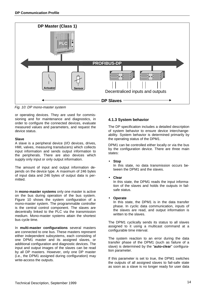<span id="page-15-0"></span>

Fig. 10: DP mono-master system

or operating devices. They are used for commissioning and for maintenance and diagnostics, in order to configure the connected devices, evaluate measured values and parameters, and request the device status.

#### **Slave**

A slave is a peripheral device (I/O devices, drives, HMI, valves, measuring transducers) which collects input information and sends output information to the peripherals. There are also devices which supply only input or only output information.

The amount of input and output information depends on the device type. A maximum of 246 bytes of input data and 246 bytes of output data is permitted.

In **mono-master systems** only one master is active on the bus during operation of the bus system. Figure 10 shows the system configuration of a mono-master system. The programmable controller is the central control component. The slaves are decentrally linked to the PLC via the transmission medium. Mono-master systems attain the shortest bus cycle time.

In **multi-master configurations** several masters are connected to one bus. These masters represent either independent subsystems, each consisting of one DPM1 master and its assigned slaves, or additional configuration and diagnostic devices. The input and output images of the slaves can be read by all DP masters. However, only one DP master (i.e., the DPM1 assigned during configuration) may write-access the outputs.

# **4.1.3 System behavior**

The DP specification includes a detailed description of system behavior to ensure device interchangeability. System behavior is determined primarily by the operating status of the DPM1.

DPM1 can be controlled either locally or via the bus by the configuration device. There are three main states:

#### • **Stop**

In this state, no data transmission occurs between the DPM1 and the slaves.

#### • **Clear**

In this state, the DPM1 reads the input information of the slaves and holds the outputs in failsafe status.

#### • **Operate**

In this state, the DPM1 is in the data transfer phase. In cyclic data communication, inputs of the slaves are read, and output information is written to the slaves.

The DPM1 cyclically sends its status to all slaves assigned to it using a multicast command at a configurable time interval.

The system reaction to an error during the data transfer phase of the DPM1 (such as failure of a slave) is determined by the "**auto-clear**" configuration parameter.

If this parameter is set to true, the DPM1 switches the outputs of all assigned slaves to fail-safe state as soon as a slave is no longer ready for user data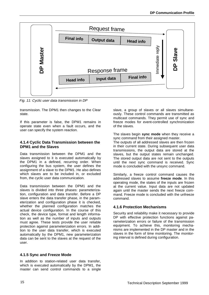<span id="page-16-0"></span>

Fig. 11: Cyclic user data transmission in DP

transmission. The DPM1 then changes to the Clear state.

If this parameter is false, the DPM1 remains in operate state even when a fault occurs, and the user can specify the system reaction.

#### **4.1.4 Cyclic Data Transmission between the DPM1 and the Slaves**

Data transmission between the DPM1 and the slaves assigned to it is executed automatically by the DPM1 in a defined, recurring order. When configuring the bus system, the user defines the assignment of a slave to the DPM1. He also defines which slaves are to be included in, or excluded from, the cyclic user data communication.

Data transmission between the DPM1 and the slaves is divided into three phases: parameterization, configuration and data transfer. Before a DP slave enters the data transfer phase, in the parameterization and configuration phase it is checked, whether the planned configuration matches the actual device configuration. In the course of this check, the device type, format and length information as well as the number of inputs and outputs must agree. These tests provide the user reliable protection against parameterization errors. In addition to the user data transfer, which is executed automatically by the DPM1, new parameterization data can be sent to the slaves at the request of the user.

# **4.1.5 Sync and Freeze Mode**

In addition to station-related user data transfer, which is executed automatically by the DPM1, the master can send control commands to a single

slave, a group of slaves or all slaves simultaneously. These control commands are transmitted as multicast commands. They permit use of sync and freeze modes for event-controlled synchronization of the slaves.

The slaves begin **sync mode** when they receive a sync command from their assigned master.

The outputs of all addressed slaves are then frozen in their current state. During subsequent user data transmissions, the output data are stored at the slaves, but the output states remain unchanged. The stored output data are not sent to the outputs until the next sync command is received. Sync mode is concluded with the unsync command.

Similarly, a freeze control command causes the addressed slaves to assume **freeze mode**. In this operating mode, the states of the inputs are frozen at the current value. Input data are not updated again until the master sends the next freeze command. Freeze mode is concluded with the unfreeze command.

# **4.1.6 Protection Mechanisms**

Security and reliability make it necessary to provide DP with effective protection functions against parameterization errors or failure of the transmission equipment. To achieve this, monitoring mechanisms are implemented in the DP master and in the slaves in the form of time monitoring. The monitoring interval is defined during configuration.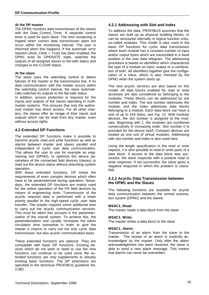#### <span id="page-17-0"></span>**At the DP master**

The DPM1 monitors data transmission of the slaves with the Data Control Timer. A separate control timer is used for each slave. The time monitoring is tripped when correct data transmission does not occur within the monitoring interval. The user is informed when this happens. If the automatic error reaction (Auto  $Clear = True$ ) has been enabled, the DPM1 exits its OPERATE state, switches the outputs of all assigned slaves to fail-safe status and changes to the CLEAR status.

#### **At the slave**

The slave uses the watchdog control to detect failures of the master or the transmission line. If no data communication with the master occurs within the watchdog control interval, the slave automatically switches its outputs to the fail-safe status.

In addition, access protection is required for the inputs and outputs of the slaves operating in multimaster systems. This ensures that only the authorized master has direct access. For all other masters, the slaves offer an image of their inputs and outputs which can be read from any master, even without access rights.

# **4.2 Extended DP Functions**

The extended DP functions make it possible to transmit acyclic read and write functions as well as alarms between master and slaves parallel and independent of cyclic user data communication. This allows the user to use for example an engineering tool (DPM2), to optimize the device parameters of the connected field devices (slaves) or read out the device status without disturbing system operation.

With these extended functions, DP meets the requirements of even complex devices which often have to be parameterized during operation. Nowadays, the extended DP functions are mainly used for the online operation of the PA field devices by means of engineering tools. Transmission of the acyclic required data is performed with a lower priority parallel to the high-speed cyclic user data transfer. The master requires some additional time to carry out the acyclic communication services. This must be taken into account in the parameterization of the overall system. To achieve this, the parameterization tool usually increases the token circulation time somewhat in order to give the master a chance to carry out not only cyclic data transmission, but also acyclic communication tasks.

These extended functions are optional. They are compatible with basic DP functions. Existing devices which do not want or need to use the new functions can continue to be used since the extended functions are only supplements to already existing basic functions. The DP extensions are specified in the technical PROFIBUS guideline No. 2.082.

#### **4.2.1 Addressing with Slot and Index**

To address the data, PROFIBUS assumes that the slaves are built up as physical building blocks, or can be structured internally in logical function units, so-called modules. This model is also used in the basic DP functions for cyclic data transmission where each module has a constant number of input and/or output bytes which are transmitted in a fixed position in the user data telegram. The addressing procedure is based on identifiers which characterize the type of a module as input, output or a combination of both. All identifiers together give the configuration of a slave, which is also checked by the DPM1 when the system starts up.

The new acyclic services are also based on this model. All data blocks enabled for read or write accesses are also considered as belonging to the modules. These blocks can be addressed by slot number and index. The slot number addresses the module, and the index addresses data blocks belonging to a module. Each data block can have a size of up to 244 bytes, see Fig. 12. With modular devices, the slot number is assigned to the modules. Beginning with 1, the modules are numbered consecutively in increasing order. Slot number 0 is provided for the device itself. Compact devices are treated as one unit of virtual modules. Addressing with slot number and index is also used here.

Using the length specification in the read or write request, it is also possible to read or write parts of a data block. If access to the data block was successful, the slave responds with a positive read or write response. If not successful, the slave gives a negative response in which the problem is classified.

#### **4.2.2 Acyclic Data Transmission between the DPM1 and the Slaves**

The following functions are available for acyclic data communication between the central automation system (DPM1) and the slaves:

#### **MSAC1\_Read:**

The master reads a data block from the slave

#### **MSAC1\_Write:**

The master writes a data block to the slave

#### **MSAC1\_Alarm:**

Transmission of an alarm from the slave to the master. The receipt of an alarm is explicitly acknowledged by the master. Only after the alarm acknowledgement has been received, the slave is able to send a new alarm message. This means that alarms can never be overwritten.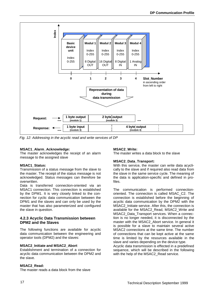<span id="page-18-0"></span>

Fig. 12: Addressing in the acyclic read and write services of DP

#### **MSAC1\_Alarm\_Acknowledge:**

The master acknowledges the receipt of an alarm message to the assigned slave

#### **MSAC1\_Status:**

Transmission of a status message from the slave to the master. The receipt of the status message is not acknowledged. Status messages can therefore be overwritten.

Data is transferred connection-oriented via an MSAC1 connection. This connection is established by the DPM1. It is very closely linked to the connection for cyclic data communication between the DPM1 and the slaves and can only be used by the master that has also parameterized and configured the slave in question.

#### **4.2.3 Acyclic Data Transmission between DPM2 and the Slaves**

The following functions are available for acyclic data communication between the engineering and operator tools (DPM2) and the slaves:

#### **MSAC2\_Initiate and MSAC2\_Abort**

Establishment and termination of a connection for acyclic data communication between the DPM2 and the slave.

#### **MSAC2\_Read:**

The master reads a data block from the slave

#### **MSAC2\_Write:**

The master writes a data block to the slave

#### **MSAC2\_Data\_Transport:**

With this service, the master can write data acyclically to the slave and if required also read data from the slave in the same service cycle. The meaning of the data is application-specific and defined in profiles.

The communication is performed connectionoriented. The connection is called MSAC\_C2. The connection is established before the beginning of acyclic data communication by the DPM2 with the MSAC2\_Initiate service. After this, the connection is available for the MSAC2\_Read, MSAC2\_Write and MSAC2 Data Transport services. When a connection is no longer needed, it is disconnected by the master with the MSAC2 Abort service. In general it is possible for a slave to maintain several active MSAC2 connections at the same time. The number of connections that can be kept active at the same time is limited by the resources available in the slave and varies depending on the device type. Acyclic data transmission is effected in a predefined sequence, which will be described in the following with the help of the MSAC2\_Read service.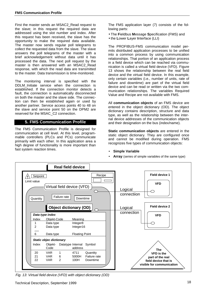<span id="page-19-0"></span>First the master sends an MSAC2\_Read request to the slave; in this request the required data are addressed using the slot number and index. After this request has been received, the slave has the opportunity to make the required data available. The master now sends regular poll telegrams to collect the requested data from the slave. The slave answers the poll telegrams of the master with a brief acknowledgement without data until it has processed the data. The next poll request by the master is then answered with an MSAC2 Read response, with which the read data are transmitted to the master. Data transmission is time-monitored.

The monitoring interval is specified with the DDLM Initiate service when the connection is established. If the connection monitor detects a fault, the connection is automatically disconnected on both the master and the slave side. The connection can then be established again or used by another partner. Service access points 40 to 48 on the slave and service point 50 on the DPM2 are reserved for the MSAC\_C2 connection.

# **5. FMS Communication Profile**

The FMS Communication Profile is designed for communication at cell level. At this level, programmable controllers (PLCs and PCs) communicate primarily with each other. In this application area a high degree of functionality is more important than fast system reaction times.

The FMS application layer (7) consists of the following parts:

- The **F**ieldbus **M**essage **S**pecification (FMS) and
- the **L**ower **L**ayer **I**nterface (LLI)

The PROFIBUS-FMS communication model permits distributed application processes to be unified into a common process by using communication relationships. That portion of an application process in a field device which can be reached via communication is called a virtual field device (VFD). Figure 13 shows the relationship between the real field device and the virtual field device. In this example, only certain variables (i.e., number of units, rate of failure and downtime) are part of the virtual field device and can be read or written via the two communication relationships. The variables Required Value and Recipe are not available with FMS.

All **communication objects** of an FMS device are entered in the object dictionary (OD). The object dictionary contains description, structure and data type, as well as the relationship between the internal device addresses of the communication objects and their designation on the bus (index/name).

**Static communication objects** are entered in the static object dictionary. They are configured once and cannot be modified during operation. FMS recognizes five types of communication objects:

- **Simple Variable**
- Array (series of simple variables of the same type)



Fig. 13: Virtual field device (VFD) with object dictionary (OD)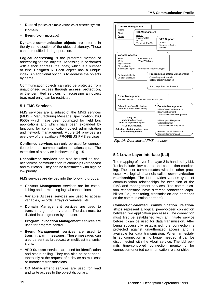- <span id="page-20-0"></span>• **Record** (series of simple variables of different types)
- **Domain**
- **Event** (event message)

**Dynamic communication objects** are entered in the dynamic section of the object dictionary. These can be modified during operation.

**Logical addressing** is the preferred method of addressing for the objects. Accessing is performed with a short address (the index) which is a number of type Unsigned16. Each object has a unique index. An additional option is to address the objects by name.

Communication objects can also be protected from unauthorized access through **access protection**, or the permitted services for accessing an object (e.g. read only) can be restricted.

#### **5.1 FMS Services**

FMS services are a subset of the MMS services (MMS = Manufacturing Message Specification, ISO 9506) which have been optimized for field bus applications and which have been expanded by functions for communication object administration and network management. Figure 14 provides an overview of the available PROFIBUS FMS services.

**Confirmed services** can only be used for connection-oriented communication relationships. The execution of a service is shown in Fig. 15.

**Unconfirmed services** can also be used on connectionless communication relationships (broadcast and multicast). They can be transmitted with high or low priority.

FMS services are divided into the following groups:

- **Context Management** services are for establishing and terminating logical connections.
- **Variable Access** services are used to access variables, records, arrays or variable lists.
- **Domain Management** services are used to transmit large memory areas. The data must be divided into segments by the user.
- **Program Invocation Management** services are used for program control.
- **Event Management** services are used to transmit alarm messages. These messages can also be sent as broadcast or multicast transmissions.
- **VFD Support** services are used for identification and status polling. They can also be sent spontaneously at the request of a device as multicast or broadcast transmissions.
- **OD Management** services are used for read and write access to the object dictionary.



Fig. 14: Overview of FMS services

# **5.2 Lower Layer Interface (LLI)**

The mapping of layer 7 to layer 2 is handled by LLI. Tasks include flow control and connection monitoring. The user communicates with the other processes via logical channels called **communication relationships**. The LLI provides various types of communication relationships for execution of the FMS and management services. The communication relationships have different connection capabilities (i.e., monitoring, transmission and demands on the communication partners).

**Connection-oriented communication relation**ships represent a logical peer-to-peer connection between two application processes. The connection must first be established with an Initiate service before it can be used for data transmission. After being successfully established, the connection is protected against unauthorized access and is available for data transmission. When an established connection is no longer needed, it can be disconnected with the Abort service. The LLI permits time-controlled connection monitoring for connection-oriented communication relationships.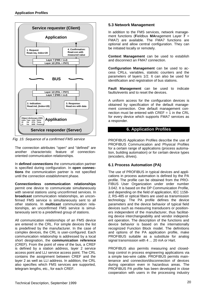<span id="page-21-0"></span>

Fig. 15: Sequence of a confirmed FMS service

The connection attributes "open" and "defined" are another characteristic feature of connectionoriented communication relationships.

In **defined connections** the communication partner is specified during configuration. In **open connections** the communication partner is not specified until the connection establishment phase.

**Connectionless communication relationships** permit one device to communicate simultaneously with several stations using unconfirmed services. In **broadcast** communication relationships, an unconfirmed FMS service is simultaneously sent to all other stations. In **multicast** communication relationships, an unconfirmed FMS service is simultaneously sent to a predefined group of stations.

All communication relationships of an FMS device are entered in the CRL. For simple devices the list is predefined by the manufacturer. In the case of complex devices, the CRL is user-configured. Each communication relationship is addressed by a local short designation, the **communication reference** (CREF). From the point of view of the bus, a CREF is defined by a station address, layer 2 service access point and LLI service access point. The CRL contains the assignment between CREF and the layer 2 as well as LLI address. In addition, the CRL also specifies which FMS services are supported, telegram lengths, etc., for each CREF.

# **5.3 Network Management**

In addition to the FMS services, network management functions (**F**ieldbus **MA**nagement Layer **7** = FMA7) are available. The FMA7 functions are optional and allow central configuration. They can be initiated locally or remotely.

**Context Management** can be used to establish and disconnect an FMA7 connection.

**Configuration Management** can be used to access CRLs, variables, statistic counters and the parameters of layers 1/2. It can also be used for identification and registration of bus stations.

**Fault Management** can be used to indicate faults/events and to reset the devices.

A uniform access for the configuration devices is obtained by specification of the default management connection. One default management connection must be entered with  $CREF = 1$  in the CRL for every device which supports FMA7 services as a responder.

# **6. Application Profiles**

PROFIBUS Application Profiles describe the use of PROFIBUS Communication and Physical Profiles for a certain range of applications (process automation, building automation) or for certain device types (encoders, drives).

# **6.1 Process Automation (PA)**

The use of PROFIBUS in typical devices and applications in process automation is defined by the PA profile. The profile can be obtained from the PRO-FIBUS User Organization under order number 3.042. It is based on the DP Communication Profile, and depending on the field of application, IEC 1158- 2, RS-485 or optical fibers are used as transmission technology. The PA profile defines the device parameters and the device behavior of typical field devices such as measuring transducers or positioners independent of the manufacturer, thus facilitating device interchangeability and vendor independent operation. The description of the functions and device behavior is based on the internationally recognized Function Block model. The definitions and options of the PA application profile, make PROFIBUS suitable as a substitute for analog signal transmission with 4 ... 20 mA or Hart.

PROFIBUS also permits measuring and closedloop control in process engineering applications via a simple two-wire cable. PROFIBUS permits maintenance and connection/disconnection of devices during operation even in hazardous areas. The PROFIBUS PA profile has been developed in close cooperation with users in the processing industry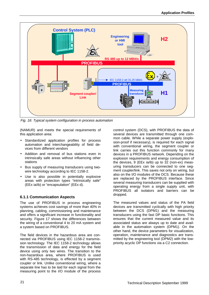<span id="page-22-0"></span>

Fig. 16: Typical system configuration in process automation

(NAMUR) and meets the special requirements of this application area:

- Standardized application profiles for process automation and interchangeability of field devices from different vendors
- Addition and removal of bus stations even in intrinsically safe areas without influencing other stations
- Bus supply of measuring transducers using twowire technology according to IEC 1158-2.
- Use is also possible in potentially explosive areas with protection types "intrinsically safe" (EEx ia/ib) or "encapsulation" (EEx d).

# **6.1.1 Communication Aspects**

The use of PROFIBUS in process engineering systems achieves cost savings of more than 40% in planning, cabling, commissioning and maintenance and offers a significant increase in functionality and security. Figure 17 shows the differences between the wiring of a conventional 4 to 20 mA system and a system based on PROFIBUS.

The field devices in the hazardous area are connected via PROFIBUS using IEC 1158-2 transmission technology. The IEC 1158-2 technology allows the transmission of data and energy for the field device using only two wires. The transition to the non-hazardous area, where PROFIBUS is used with RS-485 technology, is effected by a segment coupler or link. Unlike conventional wiring, where a separate line has to be laid for each signal from the measuring point to the I/O module of the process

control system (DCS), with PROFIBUS the data of several devices are transmitted through one common cable. While a separate power supply (explosion-proof if necessary), is required for each signal with conventional wiring, the segment coupler or link carries out this function commonly for many devices in a PROFIBUS network. Depending on the explosion requirements and energy consumption of the devices, 9 (EEx ia/ib) up to 32 (non-ex) measuring transducers can be connected to one segment coupler/link. This saves not only on wiring, but also on the I/O modules of the DCS. Because these are replaced by the PROFIBUS interface. Since several measuring transducers can be supplied with operating energy from a single supply unit, with PROFIBUS all isolators and barriers can be dropped.

The measured values and status of the PA field devices are transmitted cyclically with high priority between the DCS (DPM1) and the measuring transducers using the fast DP basic functions. This ensures that the current measured value and its associated status are always up to date and available in the automation system (DPM1). On the other hand, the device parameters for visualization, operation, maintenance and diagnostics are transmitted by the engineering tool (DPM2) with the lowpriority acyclic DP functions via a C2 connection.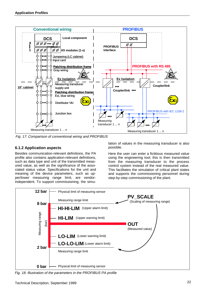<span id="page-23-0"></span>

Fig. 17: Comparison of conventional wiring and PROFIBUS

# **6.1.2 Application aspects**

Besides communication-relevant definitions, the PA profile also contains application-relevant definitions, such as data type and unit of the transmitted measured value, as well as the significance of the associated status value. Specifications for the unit and meaning of the device parameters, such as upper/lower measuring range limit, are vendorindependent. To support commissioning, the simu-

lation of values in the measuring transducer is also possible.

Here the user can enter a fictitious measured value using the engineering tool; this is then transmitted from the measuring transducer to the process control system instead of the real measured value. This facilitates the simulation of critical plant states and supports the commissioning personnel during step-by-step commissioning of the plant.



Fig. 18: Illustration of the parameters in the PROFIBUS PA profile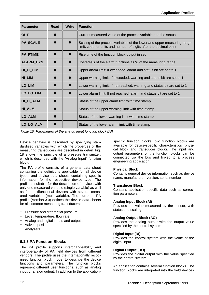<span id="page-24-0"></span>

| <b>Parameter</b> | <b>Read</b> | <b>Write</b> | <b>Function</b>                                                                                                                               |
|------------------|-------------|--------------|-----------------------------------------------------------------------------------------------------------------------------------------------|
| <b>OUT</b>       |             |              | Current measured value of the process variable and the status                                                                                 |
| <b>PV SCALE</b>  |             |              | Scaling of the process variables of the lower and upper measuring range<br>limit, code for units and number of digits after the decimal point |
| <b>PV FTIME</b>  |             |              | Rise time of the function block output in sec                                                                                                 |
| <b>ALARM_HYS</b> |             |              | Hysteresis of the alarm functions as % of the measuring range                                                                                 |
| HI_HI_LIM        |             |              | Upper alarm limit: If exceeded, alarm and status bit are set to 1                                                                             |
| HI LIM           |             |              | Upper warning limit: If exceeded, warning and status bit are set to 1                                                                         |
| LO_LIM           |             |              | Lower warning limit: If not reached, warning and status bit are set to 1                                                                      |
| LO_LO_LIM        |             |              | Lower alarm limit: If not reached, alarm and status bit are set to 1                                                                          |
| HI_HI_ALM        |             |              | Status of the upper alarm limit with time stamp                                                                                               |
| <b>HI ALM</b>    |             |              | Status of the upper warning limit with time stamp                                                                                             |
| LO_ALM           |             |              | Status of the lower warning limit with time stamp                                                                                             |
| LO_LO_ALM        |             |              | Status of the lower alarm limit with time stamp                                                                                               |

Table 10: Parameters of the analog input function block (AI)

Device behavior is described by specifying standardized variables with which the properties of the measuring transducers are described in detail. Fig. 18 shows the principle of a pressure transmitter, which is described with the "Analog Input" function block.

The PA profile consists of a general data sheet containing the definitions applicable for all device types, and device data sheets containing specific information for the respective device type. The profile is suitable for the description of devices with only one measured variable (single variable) as well as for multifunctional devices with several measured variables (multi-variable). The current PA profile (Version 3.0) defines the device data sheets for all common measuring transducers:

- Pressure and differential pressure
- Level, temperature, flow rate
- Analog and digital inputs and outputs
- Valves, positioners
- Analyzers

# **6.1.3 PA Function Blocks**

The PA profile supports interchangeability and interoperability of PA field devices from different vendors. The profile uses the internationally recognized function block model to describe the device functions and parameters. The function blocks represent different user functions, such as analog input or analog output. In addition to the applicationspecific function blocks, two function blocks are available for device-specific characteristics (physical block and transducer block). The input and output parameters of the function blocks can be connected via the bus and linked to a process engineering application.

#### **Physical Block**

Contains general device information such as device name, manufacturer, version, serial number

#### **Transducer Block**

Contains application-specific data such as correction parameters

#### **Analog Input Block (AI)**

Provides the value measured by the sensor, with status and scaling

#### **Analog Output Block (AO)**

Provides the analog output with the output value specified by the control system

#### **Digital Input (DI)**

Provides the control system with the value of the digital input

#### **Digital Output (DO)**

Provides the digital output with the value specified by the control system

An application contains several function blocks. The function blocks are integrated into the field devices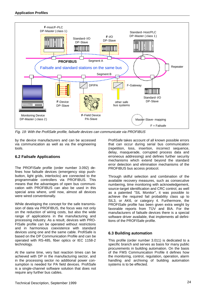<span id="page-25-0"></span>

Fig. 19: With the ProfiSafe profile, failsafe devices can communicate via PROFIBUS

by the device manufacturers and can be accessed via communication as well as via the engineering tools.

# **6.2 Failsafe Applications**

The PROFISafe profile (order number 3.092) defines how failsafe devices (emergency stop pushbutton, light grids, interlocks) are connected to the programmable controllers via PROFIBUS. This means that the advantages of open bus communication with PROFIBUS can also be used in this special area where, until now, almost all devices were wired conventionally.

While developing the concept for the safe transmission of data via PROFIBUS, the focus was not only on the reduction of wiring costs, but also the wide range of applications in the manufacturing and processing industry. As a result, devices with PRO-FISafe profile can be operated without restrictions and in harmonious coexistence with standard devices using one and the same cable. ProfiSafe is based on the DP Communication Profile and can be operated with RS-485, fiber optics or IEC 1158-2 technology.

At the same time, very fast reaction times can be achieved with DP in the manufacturing sector, and in the processing sector no additional power consumption is needed for PA field devices. ProfiSafe is a single-channel software solution that does not require any further bus cables.

ProfiSafe takes account of all known possible errors that can occur during serial bus communication (repetition, loss, insertion, incorrect sequence, delay, masquerade, corrupted process data and erroneous addressing) and defines further security mechanisms which extend beyond the standard error detection and elimination mechanisms of the PROFIBUS bus access protocol.

Through skilful selection and combination of the available recovery measures, such as consecutive numbering, time monitoring with acknowledgement, source-target identification and CRC control, as well as a patented "SIL Monitor", it was possible to achieve the required fail probability class up to SIL3, or AK6, or category 4. Furthermore, the PROFISafe profile has been given extra weight by favorable reports from TÜV and BIA. For the manufacturers of failsafe devices there is a special software driver available, that implements all definitions of the PROFISafe profile.

# **6.3 Building automation**

This profile (order number 3.011) is dedicated to a specific branch and serves as basis for many public procurements in building automation. On the basis of the FMS Communication Profile it defines how the monitoring, control, regulation, operation, alarm handling and archiving of building automation systems is to be effected.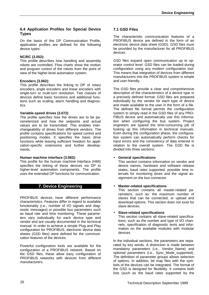## <span id="page-26-0"></span>**6.4 Application Profiles for Special Device Types**

On the basis of the DP Communication Profile, application profiles are defined for the following device types:

#### **NC/RC (3.052):**

This profile describes how handling and assembly robots are controlled. Flow charts show the motion and program control of the robots from the point of view of the higher-level automation system.

#### **Encoders (3.062):**

This profile describes the linking to DP of rotary encoders, angle encoders and linear encoders with single-turn or multi-turn resolution. Two classes of devices define basic functions and additional functions such as scaling, alarm handling and diagnostics.

#### **Variable-speed drives (3.072)**

The profile specifies how the drives are to be parameterized and how the setpoints and actual values are to be transmitted. This enables interchangeability of drives from different vendors. The profile contains specifications for speed control and positioning modes. It specifies the basic drive functions while leaving sufficient freedom for application-specific extensions and further developments.

#### **Human machine interface (3.082):**

This profile for the human machine interface (HMI) specifies the linking of these devices via DP to higher-level automation components. The profile uses the extended DP functions for communication.

# **7. Device Engineering**

PROFIBUS devices have different performance characteristics. Features differ in regard to available functionality (i.e., number of I/O signals and diagnostic messages) or possible bus parameters such as baud rate and time monitoring. These parameters vary individually for each device type and vendor and are usually documented in the technical manual. In order to achieve a simple Plug and Play configuration for PROFIBUS, electronic device data sheets (GSD files) were defined for the communication features of the devices.

Powerful configuration tools are available for the configuration of a PROFIBUS network. Based on the GSD files, these allow easy configuration of PROFIBUS networks with devices from different manufacturers.

# **7.1 GSD Files**

The characteristic communication features of a PROFIBUS device are defined in the form of an electronic device data sheet (GSD). GSD files must be provided by the manufacturer for all PROFIBUS devices.

GSD files expand open communication up to operator control level. GSD files can be loaded during configuration using any modern configuration tool. This means that integration of devices from different manufacturers into the PROFIBUS system is simple and user-friendly.

The GSD files provide a clear and comprehensive description of the characteristics of a device type in a precisely defined format. GSD files are prepared individually by the vendor for each type of device and made available to the user in the form of a file. The defined file format permits the configuration system to simply read in the GSD files of any PRO-FIBUS device and automatically use this information when configuring the bus system. Project engineers are spared the time-consuming job of looking up this information in technical manuals. Even during the configuration phase, the configuration system can automatically perform checks for input errors and the consistency of data entered in relation to the overall system. The GSD file is divided into three sections:

#### • **General specifications**

This section contains information on vendor and device names, hardware and software release states, baud rates supported, possible time intervals for monitoring times and the signal assignment on the bus connector.

# • **Master-related specifications**

This section contains all master-related parameters, such as: the maximum number of slaves that can be connected, or upload and download options. This section does not exist for slave devices.

#### • **Slave-related specifications**

This section contains all slave-related specifications, such as the number and type of I/O channels, specification of diagnostic texts and information on the available modules with modular devices.

In the individual sections, the parameters are separated by key words. A distinction is made between mandatory parameters (i.e., Vendor Name) and optional parameters (i.e., Sync\_Mode\_supported). The definition of parameter groups allows selection of options. In addition, bit map files with the symbols of the devices can be integrated. The format of the GSD is designed for flexibility. It contains both lists (such as the baud rates supported by the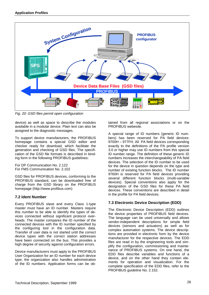<span id="page-27-0"></span>

Fig. 20: GSD files permit open configuration

device) as well as space to describe the modules available in a modular device. Plain text can also be assigned to the diagnostic messages.

To support device manufacturers, the PROFIBUS homepage contains a special GSD editor and checker ready for download, which facilitate the generation and checking of GSD files. The specification of the GSD file formats is described in binding form in the following PROFIBUS guidelines:

For DP Communication No. 2.122 For FMS Communication No. 2.102

GSD files for PROFIBUS devices, conforming to the PROFIBUS standard, can be downloaded free of charge from the GSD library on the PROFIBUS homepage (http://www.profibus.com)

# **7.2 Ident Number**

Every PROFIBUS slave and every Class 1-type master must have an ID number. Masters require this number to be able to identify the types of devices connected without significant protocol overheads. The master compares the ID number of the connected devices with the ID number specified by the configuring tool in the configuration data. Transfer of user data is not started until the correct device types with the correct station addresses have been connected on the bus. This provides a high degree of security against configuration errors.

Device manufacturers must apply to the PROFIBUS User Organization for an ID number for each device type; the organization also handles administration of the ID numbers. Application forms can be obtained from all regional associations or on the PROFIBUS webesite.

A special range of ID numbers (generic ID numbers) has been reserved for PA field devices: 9700H – 977FH. All PA field devices corresponding exactly to the definitions of the PA profile version 3.0 or higher may use ID numbers from this special ID number range. The definition of these generic ID numbers increases the interchangeability of PA field devices. The selection of the ID number to be used for the device in question depends on the type and number of existing function blocks. The ID number 9760H is reserved for PA field devices providing several different function blocks (multi-variable devices). Special conventions also apply for the designation of the GSD files for these PA field devices. These conventions are described in detail in the profile for PA field devices.

# **7.3 Electronic Device Description (EDD)**

The Electronic Device Description (EDD) outlines the device properties of PROFIBUS field devices. The language can be used universally and allows vendor-independent descriptions for simple field devices (sensors and actuators) as well as for complex automation systems. The device descriptions are provided in electronic form by the device manufacturer for the respective devices. The EDD files are read in by the engineering tools and simplify the configuration, commissioning and maintenance of PROFIBUS systems. On one hand, the EDD files describe variables and functions of a device, and on the other hand they contain elements for operation and visualization. For the complete specification of the EDD files, refer to the PROFIBUS guideline No. 2.152.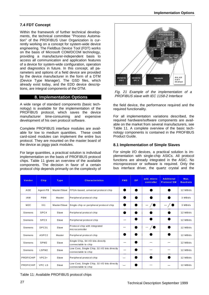# <span id="page-28-0"></span>**7.4 FDT Concept**

Within the framework of further technical developments, the technical committee "Process Automation" of the PROFIBUS User Organization is currently working on a concept for system-wide device engineering. The Fieldbus Device Tool (FDT) works on the basis of Microsoft COM/DCOM technology, providing a manufacturer-independent basis to access all communication and application features of a device for system-wide configuration, operation and diagnostics in future. In this concept, all parameters and options of a field device are provided by the device manufacturer in the form of a DTM (Device Type Manager). The GSD files, which already exist today, and the EDD device descriptions, are integral components of the DTM.

# **8. Implementation Options**

A wide range of standard components (basic technology) is available for the implementation of the PROFIBUS protocol, which saves the device manufacturer time-consuming and expensive development of his own protocol software.

Complete PROFIBUS interface modules are available for low to medium quantities. These credit card-sized modules can implement the entire bus protocol. They are mounted on the master board of the device as piggy pack modules.

For large quantities, a practical solution is individual implementation on the basis of PROFIBUS protocol chips. Table 11 gives an overview of the available components. The decision in favor of a certain protocol chip depends primarily on the complexity of



Fig. 21 Example of the implementation of a PROFIBUS slave with IEC 1158-2 Interface

the field device, the performance required and the required functionality.

For all implementation variations described, the required hardware/software components are available on the market from several manufacturers, see Table 11. A complete overview of the basic technology components is contained in the PROFIBUS Product Guide.

# **8.1 Implementation of Simple Slaves**

For simple I/O devices, a practical solution is implementation with single-chip ASICs. All protocol functions are already integrated in the ASIC. No microprocessor or software is required. Only the bus interface driver, the quartz crystal and the

| Vendor           | Chip             | <b>Type</b>  | <b>Characteristics</b>                                             | <b>FMS</b> | DP.       | add. micro-<br>controller | <b>Additional</b><br><b>Protocol SW</b> | Max.<br><b>Baudrate</b> |
|------------------|------------------|--------------|--------------------------------------------------------------------|------------|-----------|---------------------------|-----------------------------------------|-------------------------|
| AGE              | Agent-PB         | Master/Slave | FPGA-based, universal protocol chip                                |            |           |                           |                                         | 12 MBit/s               |
| <b>IAM</b>       | PBM              | Master       | Peripheral protocol chip                                           |            |           |                           |                                         | 3 MBit/s                |
| M <sub>2</sub> C | IX1              | Master/Slave | Single chip or peripheral protocol chip                            |            | ●         | $-$ / $\bullet$           | $-$ / $\bullet$                         | 3 MBit/s                |
| Siemens          | SPC4             | Slave        | Peripheral protocol chip                                           |            | $\bullet$ |                           |                                         | 12 MBit/s               |
| Siemens          | SPC <sub>3</sub> | Slave        | Peripherial protocol chip                                          |            |           |                           |                                         | 12 MBit/s               |
| Siemens          | DPC31            | Slave        | Protocol chip with integrated<br>microcontroller                   |            | ●         | $-$ / $\bullet$           | $\bullet$                               | 12 MBit/s               |
| Siemens          | ASPC2            | Master       | Peripheral protocol chip                                           |            | O         |                           |                                         | 12 MBit/s               |
| Siemens          | SPM <sub>2</sub> | Slave        | Single Chip, 64 I/O bits directly<br>connectable to chip           |            |           |                           |                                         | 12 MBit/s               |
| Siemens          | LSPM2            | Slave        | Low Cost, Single Chip, 32 I/O bits directly<br>connectable to chip |            |           |                           |                                         | 12 MBit/s               |
| <b>PROFICHIP</b> | $VPC3+$          | Slave        | Peripheral protocol chip                                           | --         | Ð         |                           |                                         | 12 MBit/s               |
| <b>PROFICHIP</b> | <b>VPC LS</b>    | Slave        | Low Cost, Single Chip, 32 I/O bits directly<br>connectable to chip |            |           |                           |                                         | 12 MBit/s               |

Table 11: Available PROFIBUS protocol chips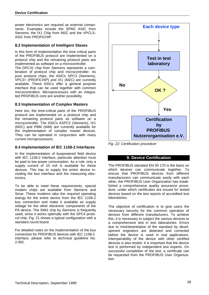<span id="page-29-0"></span>power electronics are required as external components. Examples include the SPM2 ASIC from Siemens, the IX1 Chip from M2C and the VPCLS-ASIC from PROFICHIP.

# **8.2 Implementation of Intelligent Slaves**

In this form of implementation the time critical parts of the PROFIBUS protocol are implemented on a protocol chip and the remaining protocol parts are implemented as software on a microcontroller.

The DPC31 chip from Siemens represents a combination of protocol chip and microcontroller. As pure protocol chips, the ASICs SPC3 (Siemens), VPC3+ (PROFICHIP) and IX1 (M2C) are currently available. These ASICs offer a general purpose interface that can be used together with common microcontrollers. Microprocessors with an integrated PROFIBUS core are another possibility.

#### **8.3 Implementation of Complex Masters**

Here too, the time-critical parts of the PROFIBUS protocol are implemented on a protocol chip and the remaining protocol parts as software on a microcontroller. The ASICs ASPC2 (Siemens), IX1 (M2C) and PBM (IAM) are currently available for the implementation of complex master devices. They can be operated in conjunction with many current microprocessors.

## **8.4 Implementation of IEC 1158-2 Interfaces**

In the implementation of buspowered field device with IEC 1158-2 interface, particular attention must be paid to low power consumption. As a rule, only a supply current of 10 mA is available for these devices. This has to supply the entire device including the bus interface and the measuring electronics.

To be able to meet these requirements, special modem chips are available from Siemens and Smar. These modems take the required operating energy for the entire device from the IEC 1158-2 bus connection and make it available as supply voltage for the other electronic components of the PA device. The SIM1 chip by Siemens is frequently used, since it works optimally with the SPC4 protocol chip. Fig. 21 shows a typical configuration with a standard round board.

For detailed notes on the implementation of the bus connection for PROFIBUS devices with IEC 1158-2 interface, please refer to technical guideline No. 2.092.



Fig. 22: Certification procedure

# **9. Device Certification**

The PROFIBUS standard EN 50 170 is the basis on which devices can communicate together. To ensure that PROFIBUS devices from different manufacturers can communicate easily with each other, the PROFIBUS User Organization has established a comprehensive quality assurance procedure, under which certificates are issued for tested devices based on the test reports of accredited test laboratories.

The objective of certification is to give users the necessary security for the common operation of devices from different manufacturers. To achieve this, it is necessary to subject the various devices to a comprehensive test in test laboratories. Errors due to misinterpretation of the standard by development engineers are detected and corrected before the device is used in real applications. Interoperability of the device with other certified devices is also tested. It is important that the device test is performed by independent test experts. On successful completion of the test, a certificate can be requested from the PROFIBUS User Organization.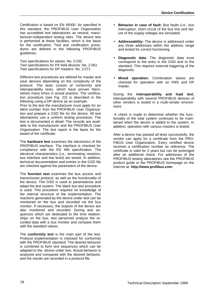Certification is based on EN 45000. As specified in this standard, the PROFIBUS User Organization has accredited test laboratories as neutral, manufacturer-independent testing sites. The device test is performed at these facilities, which is the basis for the certification. Test and certification procedures are defined in the following PROFIBUS guidelines:

Test specifications for slaves: No. 2.032 Test specifications for PA field devices: No. 2.061 Test specifications for DP masters: No. 2.071

Different test procedures are defined for master and save devices depending on the complexity of the protocol. The tests consist of conformity and interoperability tests, which have proven themselves many times in actual practice. The certification procedure (see Fig. 22) is described in the following using a DP device as an example.

Prior to the test the manufacturer must apply for an Ident number from the PROFIBUS User Organization and prepare a GSD file for the device. All test laboratories use a uniform testing procedure. The test is documented in detail. The records are available to the manufacturer and the PROFIBUS User Organization. The test report is the basis for the award of the certificate.

The **hardware test** examines the electronics of the PROFIBUS interface. The interface is checked for compliance with the RS 485 specification. The electrical characteristics (i.e., terminating resistors, bus interface and line level) are tested. In addition, technical documentation and entries in the GSD file are checked against the parameters of the device.

The **function test** examines the bus access and transmission protocol, as well as the functionality of the device. The GSD is used to parameterize and adapt the test system. The black box test procedure is used. This procedure requires no knowledge of the internal structure of the implementation. The reactions generated by the device under test can be monitored on the bus and recorded via the bus monitor. If necessary, the outputs of the device are also monitored and recorded. During test sequences which are dedicated to the time relationships on the bus, test personnel analyze the recorded data with a bus monitor and compare them with the standard values.

The **conformity test** is the main part of the test. Protocol implementation is checked for conformity with the PROFIBUS standard. The desired behavior is combined to form test sequences which can be adapted to the device under test. Actual behavior is analyzed and compared with the desired behavior, and the results are recorded in a protocol file.

- **Behavior in case of fault:** Bus faults (i.e., bus interruption, short circuit of the bus line and failure of the supply voltage) are simulated.
- **Addressability:** The device is addressed under any three addresses within the address range and tested for correct functioning.
- **Diagnostic data**: The diagnostic data must correspond to the entry in the GSD and to the standard. This requires external triggering of the diagnostic.
- **Mixed operation:** Combination slaves are checked for operation with an FMS and DP master.

During the **interoperability and load test**, interoperability with several PROFIBUS devices of other vendors is tested in a mutli-vendor environment.

 A check is made to determine whether the functionality of the total system continues to be maintained when the device is added to the system. In addition, operation with various masters is tested.

After a device has passed all tests successfully, the vendor can apply for a certificate from the PRO-FIBUS User Organization. Every certified device receives a certification number as reference. The certificate is valid for 3 years but can be prolonged after an additional check. For addresses of the PROFIBUS testing laboratories see the PROFIBUS product guide or the PROFIBUS homepage on the Internet at: **http://www.profibus.com**.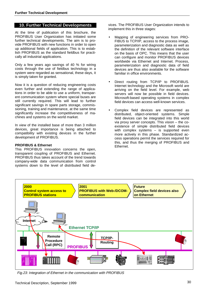# <span id="page-31-0"></span>**10. Further Technical Developments**

At the time of publication of this brochure, the PROFIBUS User Organization has initiated some further technical developments. The aim is to provide PROFIBUS with new functions in order to open up additional fields of application. This is to establish PROFIBUS as the standard fieldbus for practically all industrial applications.

Only a few years ago savings of 40 % for wiring costs through the use of fieldbus technology in a system were regarded as sensational, these days, it is simply taken for granted.

Now it is a question of reducing engineering costs even further and extending the range of applications in order to be able to use a uniform, transparent communication system where special buses are still currently required. This will lead to further significant savings in spare parts storage, commissioning, training and maintenance, at the same time significantly increase the competitiveness of machines and systems on the world market.

In view of the installed base of more than 3 million devices, great importance is being attached to compatibility with existing devices in the further development of PROFIBUS.

#### **PROFIBUS & Ethernet**

This PROFIBUS innovation concerns the open, transparent coupling of PROFIBUS and Ethernet. PROFIBUS thus takes account of the trend towards company-wide data communication from control systems down to the level of distributed field devices. The PROFIBUS User Organization intends to implement this in three stages:

- Mapping of engineering services from PRO-FIBUS to TCP/IP, access to the process image, parameterization and diagnostic data as well as the definition of the relevant software interface on the basis of OPC. This means that the user can configure and monitor PROFIBUS devices worldwide via Ethernet and Internet. Process, parameterization and diagnostic data of field devices are thus also available for the software familiar in office environments.
- Direct routing from TCP/IP to PROFIBUS. Internet technology and the Microsoft world are arriving on the field level. For example, web servers will now be possible in field devices. Microsoft-based operating systems in complex field devices can access well-known services.
- Complex field devices are represented as distributed, object-oriented systems. Simple field devices can be integrated into this world via proxy server concepts. This vision – the coexistence of simple distributed field devices with complex systems – is supported even more actively in this phase. Standardized access operations permit the services required for this, and thus the merging of PROFIBUS and Ethernet.



Fig.23: Integration of Ethernet in the communication with PROFIBUS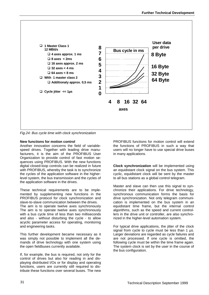

Fig.24: Bus cycle time with clock synchronization

#### **New functions for motion control**

Another innovation concerns the field of variablespeed drives. Together with leading drive manufacturers, it is the aim of the PROFIBUS User Organization to provide control of fast motion sequences using PROFIBUS. With the new functions digital closed-loop controls can be realized in future with PROFIBUS, whereby the task is to synchronize the cycles of the application software in the higherlevel system, the bus transmission and the cycles of the application software in the drives.

These technical requirements are to be implemented by supplementing new functions in the PROFIBUS protocol for clock synchronization and slave-to-slave communication between the drives. The aim is to operate twelve axes synchronously The aim is to operate twelve axes synchronously with a bus cycle time of less than two milliseconds and also - without disturbing the cycle - to allow acyclic parameter access for operating, monitoring and engineering tasks.

This further development became necessary as it was simply not possible to implement all the demands of drive technology with one system using the open fieldbuses currently available.

If, for example, the bus is required, not only for the control of drives but also for reading in and displaying distributed I/Os or for display and operating functions, users are currently still required to distribute these functions over several buses. The new

PROFIBUS functions for motion control will extend the functions of PROFIBUS in such a way that users will no longer have to use special drive buses in many applications.

**Clock synchronization** will be implemented using an equidistant clock signal on the bus system. This cyclic, equidistant clock will be sent by the master to all bus stations as a global control telegram.

Master and slave can then use this signal to synchronize their applications. For drive technology, synchronous communication forms the basis for drive synchronization. Not only telegram communication is implemented on the bus system in an equidistant time frame, but the internal control algorithms, such as the speed and current controllers in the drive unit or controller, are also synchronized in the higher-level automation system.

For typical drive applications, the jitter of the clock signal from cycle to cycle must be less than 1 us. Larger deviations are regarded as cycle failures and are not processed. If one cycle is omitted, the following cycle must be within the time frame again. The system clock is set by the user in the course of the bus configuration.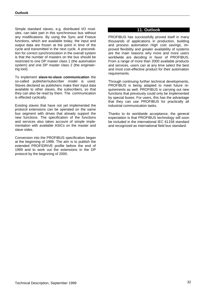<span id="page-33-0"></span>Simple standard slaves, e.g. distributed I/O modules, can take part in this synchronous bus without any modifications. By using the Sync and Freeze functions, which are available today, the input and output data are frozen at the point in time of the cycle and transmitted in the next cycle. A precondition for correct synchronization in the overall system is that the number of masters on the bus should be restricted to one DP master class 1 (the automation system) and one DP master class 2 (the engineering tool).

To implement **slave-to-slave communication** the so-called publisher/subscriber model is used. Slaves declared as publishers make their input data available to other slaves, the subscribers, so that they can also be read by them. The communication is effected cyclically.

Existing slaves that have not yet implemented the protocol extensions can be operated on the same bus segment with drives that already support the new functions. The specification of the functions and services also takes account of simple implementation with available ASICs on the master and slave sides.

Conversion into the PROFIBUS specification began at the beginning of 1999. The aim is to publish the extended PROFIDRIVE profile before the end of 1999 and to work out the extensions in the DP protocol by the beginning of 2000.

#### **11. Outlook**

PROFIBUS has successfully proved itself in many thousands of applications in production, building and process automation High cost savings, improved flexibility and greater availability of systems are the main reasons why more and more users worldwide are deciding in favor of PROFIBUS. From a range of more than 2000 available products and services, users can at any time select the best and most cost-effective product for their automation requirements.

Through continuing further technical developments, PROFIBUS is being adapted to meet future requirements as well. PROFIBUS is carrying out new functions that previously could only be implemented by special buses. For users, this has the advantage that they can use PROFIBUS for practically all industrial communication tasks.

Thanks to its worldwide acceptance, the general expectation is that PROFIBUS technology will soon be included in the international IEC 61158 standard and recognized as international field bus standard.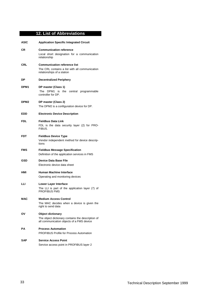# **12. List of Abbreviations**

<span id="page-34-0"></span>

| <b>ASIC</b>      | <b>Application Specific Integrated Circuit</b>                                                                             |
|------------------|----------------------------------------------------------------------------------------------------------------------------|
| СR               | <b>Communication reference</b><br>Local short designation for a communication<br>relationship                              |
| CRL              | <b>Communication reference list</b><br>The CRL contains a list with all communication<br>relationships of a station        |
| DP               | <b>Decentralized Periphery</b>                                                                                             |
| DPM <sub>1</sub> | DP master (Class 1)<br>DPM1 is the central programmable<br>The<br>controller for DP.                                       |
| DPM2             | DP master (Class 2)<br>The DPM2 is a configuration device for DP.                                                          |
| <b>EDD</b>       | <b>Electronic Device Description</b>                                                                                       |
| FDL              | <b>Fieldbus Data Link</b><br>FDL is the data security layer (2) for PRO-<br>FIBUS.                                         |
| FDT              | <b>Fieldbus Device Type</b><br>Vendor independent method for device descrip-<br>tions                                      |
| <b>FMS</b>       | <b>Fieldbus Message Specification</b><br>Definition of the application services in FMS                                     |
| GSD              | Device Data Base File<br>Electronic device data sheet                                                                      |
| HMI              | <b>Human Machine Interface</b><br>Operating and monitoring devices                                                         |
| LЦ               | Lower Layer Interface<br>The LLI is part of the application layer (7) of<br><b>PROFIBUS FMS</b>                            |
| MAC              | <b>Medium Access Control</b><br>The MAC decides when a device is given the<br>right to send data                           |
| О٧               | <b>Object dictionary</b><br>The object dictionary contains the description of<br>all communication objects of a FMS device |
| PА               | <b>Process Automation</b><br><b>PROFIBUS Profile for Process Automation</b>                                                |
| <b>SAP</b>       | <b>Service Access Point</b><br>Service access point in PROFIBUS layer 2                                                    |